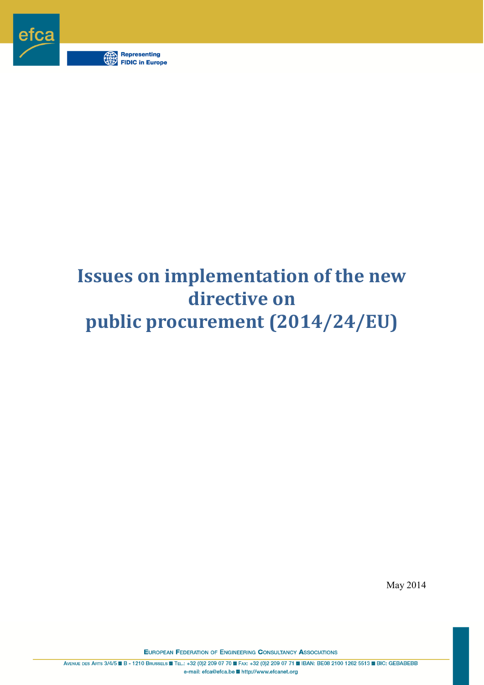

# **Issues on implementation of the new directive on public procurement (2014/24/EU)**

May 2014

**EUROPEAN FEDERATION OF ENGINEERING CONSULTANCY ASSOCIATIONS** 

AVENUE DES ARTS 3/4/5 B B - 1210 BRUSSELS E TEL.: +32 (0)2 209 07 70 FAX: +32 (0)2 209 07 71 B IBAN: BE08 2100 1262 5513 BIC; GEBABEBB e-mail: efca@efca.be http://www.efcanet.org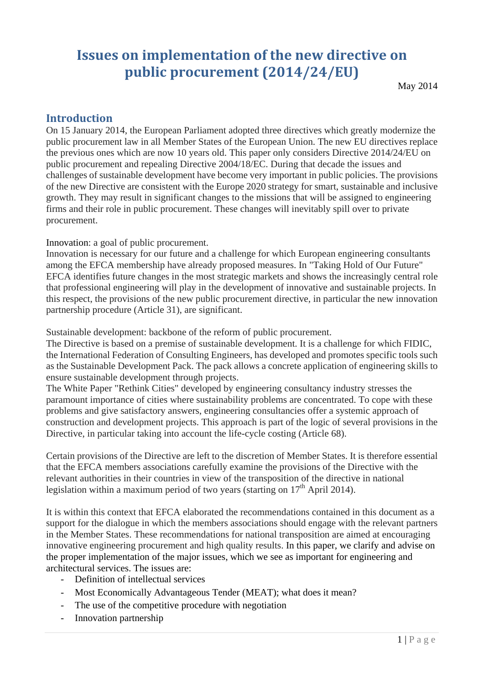# **Issues on implementation of the new directive on public procurement (2014/24/EU)**

May 2014

### **Introduction**

On 15 January 2014, the European Parliament adopted three directives which greatly modernize the public procurement law in all Member States of the European Union. The new EU directives replace the previous ones which are now 10 years old. This paper only considers Directive 2014/24/EU on public procurement and repealing Directive 2004/18/EC. During that decade the issues and challenges of sustainable development have become very important in public policies. The provisions of the new Directive are consistent with the Europe 2020 strategy for smart, sustainable and inclusive growth. They may result in significant changes to the missions that will be assigned to engineering firms and their role in public procurement. These changes will inevitably spill over to private procurement.

Innovation: a goal of public procurement.

Innovation is necessary for our future and a challenge for which European engineering consultants among the EFCA membership have already proposed measures. In "Taking Hold of Our Future" EFCA identifies future changes in the most strategic markets and shows the increasingly central role that professional engineering will play in the development of innovative and sustainable projects. In this respect, the provisions of the new public procurement directive, in particular the new innovation partnership procedure (Article 31), are significant.

Sustainable development: backbone of the reform of public procurement.

The Directive is based on a premise of sustainable development. It is a challenge for which FIDIC, the International Federation of Consulting Engineers, has developed and promotes specific tools such as the Sustainable Development Pack. The pack allows a concrete application of engineering skills to ensure sustainable development through projects.

The White Paper "Rethink Cities" developed by engineering consultancy industry stresses the paramount importance of cities where sustainability problems are concentrated. To cope with these problems and give satisfactory answers, engineering consultancies offer a systemic approach of construction and development projects. This approach is part of the logic of several provisions in the Directive, in particular taking into account the life-cycle costing (Article 68).

Certain provisions of the Directive are left to the discretion of Member States. It is therefore essential that the EFCA members associations carefully examine the provisions of the Directive with the relevant authorities in their countries in view of the transposition of the directive in national legislation within a maximum period of two years (starting on  $17<sup>th</sup>$  April 2014).

It is within this context that EFCA elaborated the recommendations contained in this document as a support for the dialogue in which the members associations should engage with the relevant partners in the Member States. These recommendations for national transposition are aimed at encouraging innovative engineering procurement and high quality results. In this paper, we clarify and advise on the proper implementation of the major issues, which we see as important for engineering and architectural services. The issues are:

- Definition of intellectual services
- Most Economically Advantageous Tender (MEAT); what does it mean?
- The use of the competitive procedure with negotiation
- Innovation partnership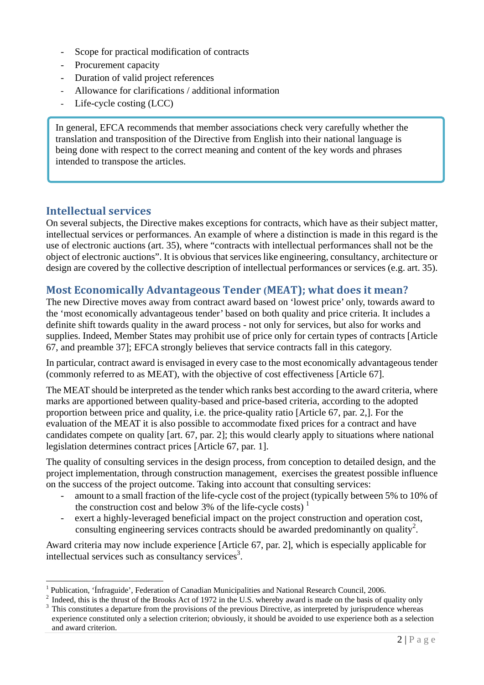- Scope for practical modification of contracts
- Procurement capacity
- Duration of valid project references
- Allowance for clarifications / additional information
- Life-cycle costing (LCC)

In general, EFCA recommends that member associations check very carefully whether the translation and transposition of the Directive from English into their national language is being done with respect to the correct meaning and content of the key words and phrases intended to transpose the articles.

#### **Intellectual services**

 $\overline{a}$ 

On several subjects, the Directive makes exceptions for contracts, which have as their subject matter, intellectual services or performances. An example of where a distinction is made in this regard is the use of electronic auctions (art. 35), where "contracts with intellectual performances shall not be the object of electronic auctions". It is obvious that services like engineering, consultancy, architecture or design are covered by the collective description of intellectual performances or services (e.g. art. 35).

# **Most Economically Advantageous Tender (MEAT); what does it mean?**

The new Directive moves away from contract award based on 'lowest price' only, towards award to the 'most economically advantageous tender' based on both quality and price criteria. It includes a definite shift towards quality in the award process - not only for services, but also for works and supplies. Indeed, Member States may prohibit use of price only for certain types of contracts [Article 67, and preamble 37]; EFCA strongly believes that service contracts fall in this category.

In particular, contract award is envisaged in every case to the most economically advantageous tender (commonly referred to as MEAT), with the objective of cost effectiveness [Article 67].

The MEAT should be interpreted as the tender which ranks best according to the award criteria, where marks are apportioned between quality-based and price-based criteria, according to the adopted proportion between price and quality, i.e. the price-quality ratio [Article 67, par. 2,]. For the evaluation of the MEAT it is also possible to accommodate fixed prices for a contract and have candidates compete on quality [art. 67, par. 2]; this would clearly apply to situations where national legislation determines contract prices [Article 67, par. 1].

The quality of consulting services in the design process, from conception to detailed design, and the project implementation, through construction management, exercises the greatest possible influence on the success of the project outcome. Taking into account that consulting services:

- amount to a small fraction of the life-cycle cost of the project (typically between 5% to 10% of the construction cost and below 3% of the life-cycle costs)<sup>1</sup>
- exert a highly-leveraged beneficial impact on the project construction and operation cost, consulting engineering services contracts should be awarded predominantly on quality<sup>2</sup>.

Award criteria may now include experience [Article 67, par. 2], which is especially applicable for intellectual services such as consultancy services<sup>3</sup>.

<sup>1</sup> Publication, 'Ínfraguide', Federation of Canadian Municipalities and National Research Council, 2006. 2

 $<sup>2</sup>$  Indeed, this is the thrust of the Brooks Act of 1972 in the U.S. whereby award is made on the basis of quality only</sup>

This constitutes a departure from the provisions of the previous Directive, as interpreted by jurisprudence whereas experience constituted only a selection criterion; obviously, it should be avoided to use experience both as a selection and award criterion.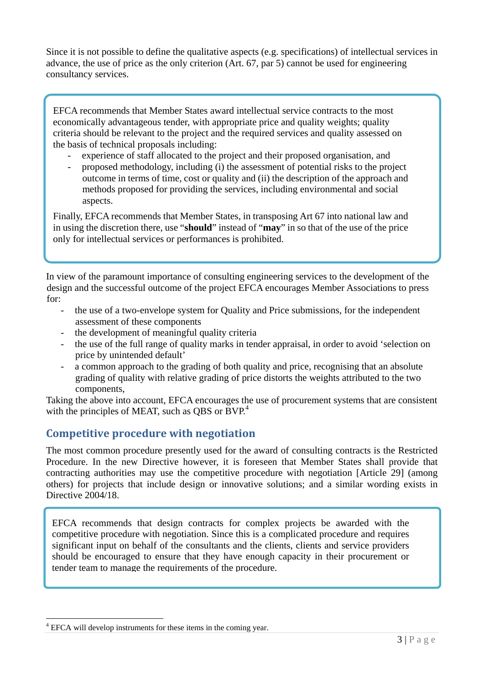Since it is not possible to define the qualitative aspects (e.g. specifications) of intellectual services in advance, the use of price as the only criterion (Art. 67, par 5) cannot be used for engineering consultancy services.

EFCA recommends that Member States award intellectual service contracts to the most economically advantageous tender, with appropriate price and quality weights; quality criteria should be relevant to the project and the required services and quality assessed on the basis of technical proposals including:

- experience of staff allocated to the project and their proposed organisation, and
- proposed methodology, including (i) the assessment of potential risks to the project outcome in terms of time, cost or quality and (ii) the description of the approach and methods proposed for providing the services, including environmental and social aspects.

Finally, EFCA recommends that Member States, in transposing Art 67 into national law and in using the discretion there, use "**should**" instead of "**may**" in so that of the use of the price only for intellectual services or performances is prohibited.

In view of the paramount importance of consulting engineering services to the development of the design and the successful outcome of the project EFCA encourages Member Associations to press for:

- the use of a two-envelope system for Quality and Price submissions, for the independent assessment of these components
- the development of meaningful quality criteria
- the use of the full range of quality marks in tender appraisal, in order to avoid 'selection on price by unintended default'
- a common approach to the grading of both quality and price, recognising that an absolute grading of quality with relative grading of price distorts the weights attributed to the two components,

Taking the above into account, EFCA encourages the use of procurement systems that are consistent with the principles of MEAT, such as QBS or  $BVP<sup>4</sup>$ .

#### **Competitive procedure with negotiation**

The most common procedure presently used for the award of consulting contracts is the Restricted Procedure. In the new Directive however, it is foreseen that Member States shall provide that contracting authorities may use the competitive procedure with negotiation [Article 29] (among others) for projects that include design or innovative solutions; and a similar wording exists in Directive 2004/18.

EFCA recommends that design contracts for complex projects be awarded with the competitive procedure with negotiation. Since this is a complicated procedure and requires significant input on behalf of the consultants and the clients, clients and service providers should be encouraged to ensure that they have enough capacity in their procurement or tender team to manage the requirements of the procedure.

 $\overline{a}$ 

<sup>&</sup>lt;sup>4</sup> EFCA will develop instruments for these items in the coming year.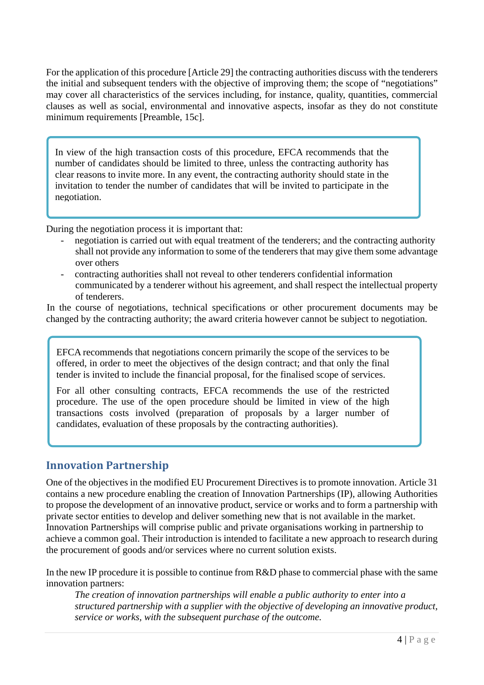For the application of this procedure [Article 29] the contracting authorities discuss with the tenderers the initial and subsequent tenders with the objective of improving them; the scope of "negotiations" may cover all characteristics of the services including, for instance, quality, quantities, commercial clauses as well as social, environmental and innovative aspects, insofar as they do not constitute minimum requirements [Preamble, 15c].

In view of the high transaction costs of this procedure, EFCA recommends that the number of candidates should be limited to three, unless the contracting authority has clear reasons to invite more. In any event, the contracting authority should state in the invitation to tender the number of candidates that will be invited to participate in the negotiation.

During the negotiation process it is important that:

- negotiation is carried out with equal treatment of the tenderers; and the contracting authority shall not provide any information to some of the tenderers that may give them some advantage over others
- contracting authorities shall not reveal to other tenderers confidential information communicated by a tenderer without his agreement, and shall respect the intellectual property of tenderers.

In the course of negotiations, technical specifications or other procurement documents may be changed by the contracting authority; the award criteria however cannot be subject to negotiation.

EFCA recommends that negotiations concern primarily the scope of the services to be offered, in order to meet the objectives of the design contract; and that only the final tender is invited to include the financial proposal, for the finalised scope of services.

For all other consulting contracts, EFCA recommends the use of the restricted procedure. The use of the open procedure should be limited in view of the high transactions costs involved (preparation of proposals by a larger number of candidates, evaluation of these proposals by the contracting authorities).

#### **Innovation Partnership**

One of the objectives in the modified EU Procurement Directives is to promote innovation. Article 31 contains a new procedure enabling the creation of Innovation Partnerships (IP), allowing Authorities to propose the development of an innovative product, service or works and to form a partnership with private sector entities to develop and deliver something new that is not available in the market. Innovation Partnerships will comprise public and private organisations working in partnership to achieve a common goal. Their introduction is intended to facilitate a new approach to research during the procurement of goods and/or services where no current solution exists.

In the new IP procedure it is possible to continue from R&D phase to commercial phase with the same innovation partners:

*The creation of innovation partnerships will enable a public authority to enter into a structured partnership with a supplier with the objective of developing an innovative product, service or works, with the subsequent purchase of the outcome.*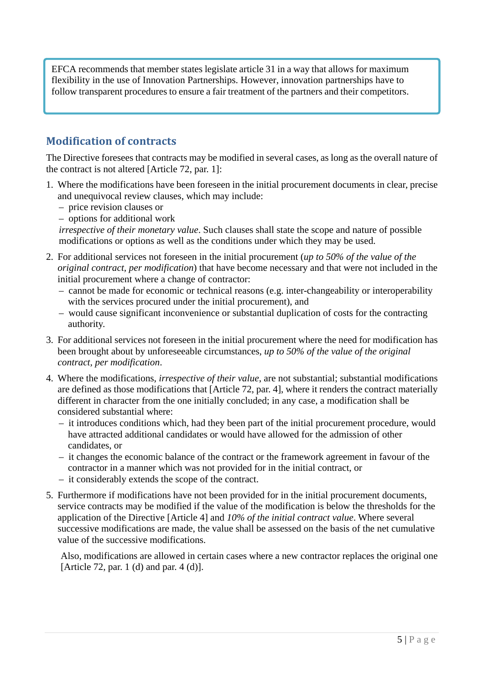EFCA recommends that member states legislate article 31 in a way that allows for maximum flexibility in the use of Innovation Partnerships. However, innovation partnerships have to follow transparent procedures to ensure a fair treatment of the partners and their competitors.

#### **Modification of contracts**

The Directive foresees that contracts may be modified in several cases, as long as the overall nature of the contract is not altered [Article 72, par. 1]:

- 1. Where the modifications have been foreseen in the initial procurement documents in clear, precise and unequivocal review clauses, which may include:
	- price revision clauses or
	- options for additional work

*irrespective of their monetary value*. Such clauses shall state the scope and nature of possible modifications or options as well as the conditions under which they may be used.

- 2. For additional services not foreseen in the initial procurement (*up to 50% of the value of the original contract, per modification*) that have become necessary and that were not included in the initial procurement where a change of contractor:
	- cannot be made for economic or technical reasons (e.g. inter-changeability or interoperability with the services procured under the initial procurement), and
	- would cause significant inconvenience or substantial duplication of costs for the contracting authority.
- 3. For additional services not foreseen in the initial procurement where the need for modification has been brought about by unforeseeable circumstances, *up to 50% of the value of the original contract, per modification*.
- 4. Where the modifications, *irrespective of their value*, are not substantial; substantial modifications are defined as those modifications that [Article 72, par. 4], where it renders the contract materially different in character from the one initially concluded; in any case, a modification shall be considered substantial where:
	- it introduces conditions which, had they been part of the initial procurement procedure, would have attracted additional candidates or would have allowed for the admission of other candidates, or
	- it changes the economic balance of the contract or the framework agreement in favour of the contractor in a manner which was not provided for in the initial contract, or
	- it considerably extends the scope of the contract.
- 5. Furthermore if modifications have not been provided for in the initial procurement documents, service contracts may be modified if the value of the modification is below the thresholds for the application of the Directive [Article 4] and *10% of the initial contract value*. Where several successive modifications are made, the value shall be assessed on the basis of the net cumulative value of the successive modifications.

Also, modifications are allowed in certain cases where a new contractor replaces the original one [Article 72, par. 1 (d) and par. 4 (d)].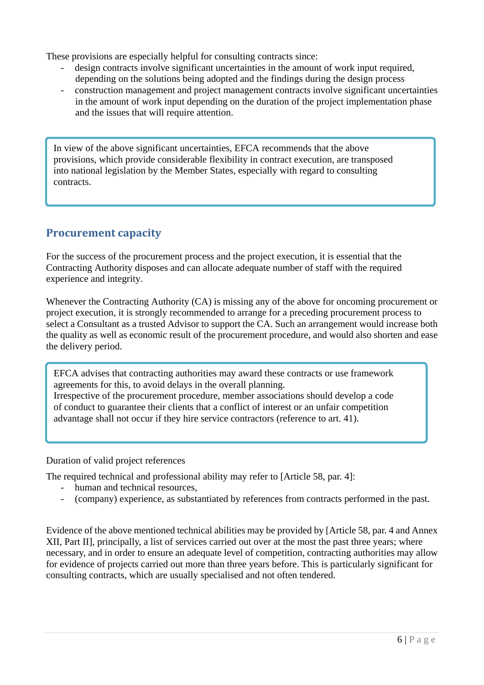These provisions are especially helpful for consulting contracts since:

- design contracts involve significant uncertainties in the amount of work input required, depending on the solutions being adopted and the findings during the design process
- construction management and project management contracts involve significant uncertainties in the amount of work input depending on the duration of the project implementation phase and the issues that will require attention.

In view of the above significant uncertainties, EFCA recommends that the above provisions, which provide considerable flexibility in contract execution, are transposed into national legislation by the Member States, especially with regard to consulting contracts.

# **Procurement capacity**

For the success of the procurement process and the project execution, it is essential that the Contracting Authority disposes and can allocate adequate number of staff with the required experience and integrity.

Whenever the Contracting Authority (CA) is missing any of the above for oncoming procurement or project execution, it is strongly recommended to arrange for a preceding procurement process to select a Consultant as a trusted Advisor to support the CA. Such an arrangement would increase both the quality as well as economic result of the procurement procedure, and would also shorten and ease the delivery period.

EFCA advises that contracting authorities may award these contracts or use framework agreements for this, to avoid delays in the overall planning.

Irrespective of the procurement procedure, member associations should develop a code of conduct to guarantee their clients that a conflict of interest or an unfair competition advantage shall not occur if they hire service contractors (reference to art. 41).

Duration of valid project references

The required technical and professional ability may refer to [Article 58, par. 4]:

- human and technical resources,
- (company) experience, as substantiated by references from contracts performed in the past.

Evidence of the above mentioned technical abilities may be provided by [Article 58, par. 4 and Annex XII, Part II], principally, a list of services carried out over at the most the past three years; where necessary, and in order to ensure an adequate level of competition, contracting authorities may allow for evidence of projects carried out more than three years before. This is particularly significant for consulting contracts, which are usually specialised and not often tendered.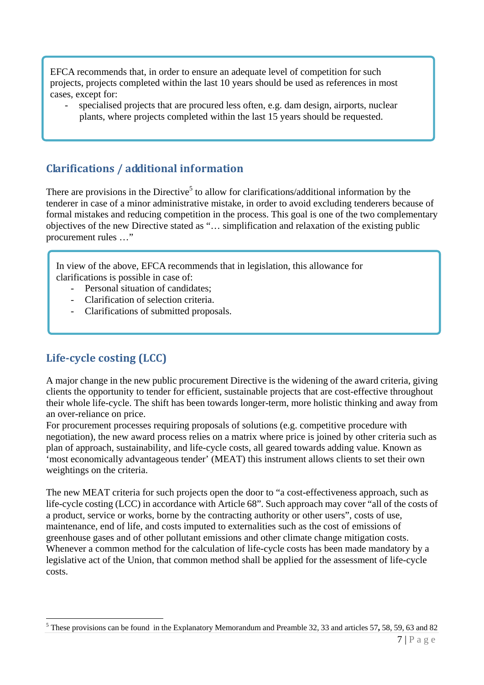EFCA recommends that, in order to ensure an adequate level of competition for such projects, projects completed within the last 10 years should be used as references in most cases, except for:

specialised projects that are procured less often, e.g. dam design, airports, nuclear plants, where projects completed within the last 15 years should be requested.

# **Clarifications / additional information**

There are provisions in the Directive<sup>5</sup> to allow for clarifications/additional information by the tenderer in case of a minor administrative mistake, in order to avoid excluding tenderers because of formal mistakes and reducing competition in the process. This goal is one of the two complementary objectives of the new Directive stated as "… simplification and relaxation of the existing public procurement rules …"

In view of the above, EFCA recommends that in legislation, this allowance for clarifications is possible in case of:

- Personal situation of candidates:
- Clarification of selection criteria.
- Clarifications of submitted proposals.

#### **Lifecycle costing (LCC)**

 $\overline{a}$ 

A major change in the new public procurement Directive is the widening of the award criteria, giving clients the opportunity to tender for efficient, sustainable projects that are cost-effective throughout their whole life-cycle. The shift has been towards longer-term, more holistic thinking and away from an over-reliance on price.

For procurement processes requiring proposals of solutions (e.g. competitive procedure with negotiation), the new award process relies on a matrix where price is joined by other criteria such as plan of approach, sustainability, and life-cycle costs, all geared towards adding value. Known as 'most economically advantageous tender' (MEAT) this instrument allows clients to set their own weightings on the criteria.

The new MEAT criteria for such projects open the door to "a cost-effectiveness approach, such as life-cycle costing (LCC) in accordance with Article 68". Such approach may cover "all of the costs of a product, service or works, borne by the contracting authority or other users", costs of use, maintenance, end of life, and costs imputed to externalities such as the cost of emissions of greenhouse gases and of other pollutant emissions and other climate change mitigation costs. Whenever a common method for the calculation of life-cycle costs has been made mandatory by a legislative act of the Union, that common method shall be applied for the assessment of life-cycle costs.

<sup>5</sup> These provisions can be found in the Explanatory Memorandum and Preamble 32, 33 and articles 57**,** 58, 59, 63 and 82